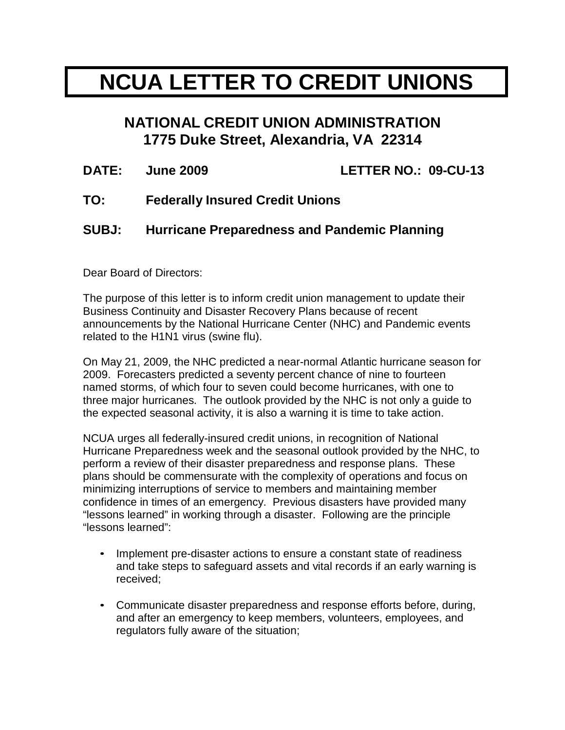## **NCUA LETTER TO CREDIT UNIONS**

## **NATIONAL CREDIT UNION ADMINISTRATION 1775 Duke Street, Alexandria, VA 22314**

| <b>DATE:</b> | <b>June 2009</b>                                    | LETTER NO.: 09-CU-13 |
|--------------|-----------------------------------------------------|----------------------|
| TO:          | <b>Federally Insured Credit Unions</b>              |                      |
| <b>SUBJ:</b> | <b>Hurricane Preparedness and Pandemic Planning</b> |                      |

Dear Board of Directors:

The purpose of this letter is to inform credit union management to update their Business Continuity and Disaster Recovery Plans because of recent announcements by the National Hurricane Center (NHC) and Pandemic events related to the H1N1 virus (swine flu).

On May 21, 2009, the NHC predicted a near-normal Atlantic hurricane season for 2009. Forecasters predicted a seventy percent chance of nine to fourteen named storms, of which four to seven could become hurricanes, with one to three major hurricanes. The outlook provided by the NHC is not only a guide to the expected seasonal activity, it is also a warning it is time to take action.

NCUA urges all federally-insured credit unions, in recognition of National Hurricane Preparedness week and the seasonal outlook provided by the NHC, to perform a review of their disaster preparedness and response plans. These plans should be commensurate with the complexity of operations and focus on minimizing interruptions of service to members and maintaining member confidence in times of an emergency. Previous disasters have provided many "lessons learned" in working through a disaster. Following are the principle "lessons learned":

- Implement pre-disaster actions to ensure a constant state of readiness and take steps to safeguard assets and vital records if an early warning is received;
- Communicate disaster preparedness and response efforts before, during, and after an emergency to keep members, volunteers, employees, and regulators fully aware of the situation;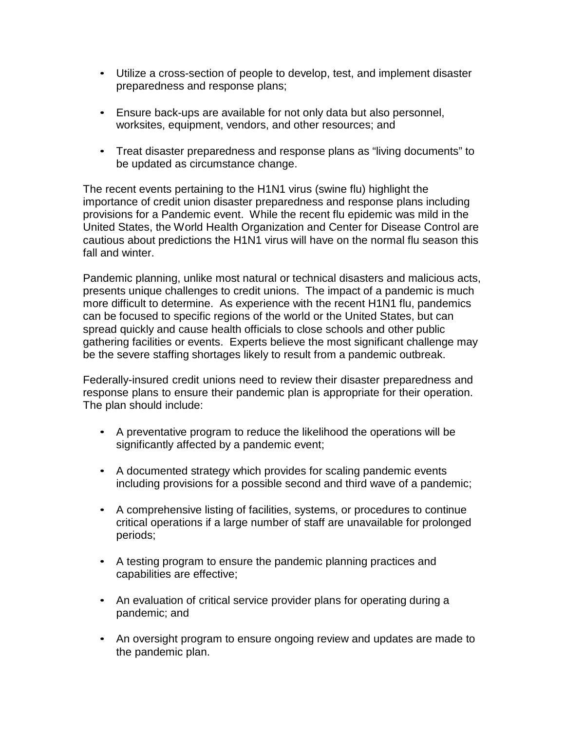- Utilize a cross-section of people to develop, test, and implement disaster preparedness and response plans;
- Ensure back-ups are available for not only data but also personnel, worksites, equipment, vendors, and other resources; and
- Treat disaster preparedness and response plans as "living documents" to be updated as circumstance change.

The recent events pertaining to the H1N1 virus (swine flu) highlight the importance of credit union disaster preparedness and response plans including provisions for a Pandemic event. While the recent flu epidemic was mild in the United States, the World Health Organization and Center for Disease Control are cautious about predictions the H1N1 virus will have on the normal flu season this fall and winter.

Pandemic planning, unlike most natural or technical disasters and malicious acts, presents unique challenges to credit unions. The impact of a pandemic is much more difficult to determine. As experience with the recent H1N1 flu, pandemics can be focused to specific regions of the world or the United States, but can spread quickly and cause health officials to close schools and other public gathering facilities or events. Experts believe the most significant challenge may be the severe staffing shortages likely to result from a pandemic outbreak.

Federally-insured credit unions need to review their disaster preparedness and response plans to ensure their pandemic plan is appropriate for their operation. The plan should include:

- A preventative program to reduce the likelihood the operations will be significantly affected by a pandemic event;
- A documented strategy which provides for scaling pandemic events including provisions for a possible second and third wave of a pandemic;
- A comprehensive listing of facilities, systems, or procedures to continue critical operations if a large number of staff are unavailable for prolonged periods;
- A testing program to ensure the pandemic planning practices and capabilities are effective;
- An evaluation of critical service provider plans for operating during a pandemic; and
- An oversight program to ensure ongoing review and updates are made to the pandemic plan.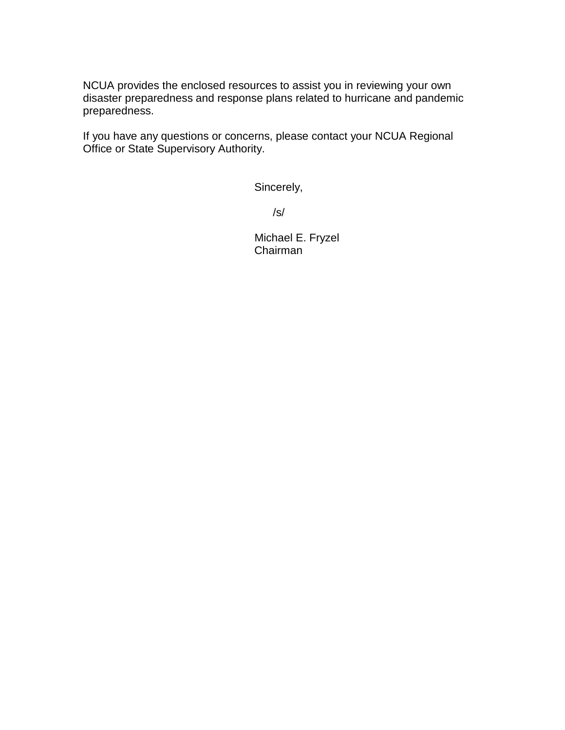NCUA provides the enclosed resources to assist you in reviewing your own disaster preparedness and response plans related to hurricane and pandemic preparedness.

If you have any questions or concerns, please contact your NCUA Regional Office or State Supervisory Authority.

Sincerely,

/s/

Michael E. Fryzel Chairman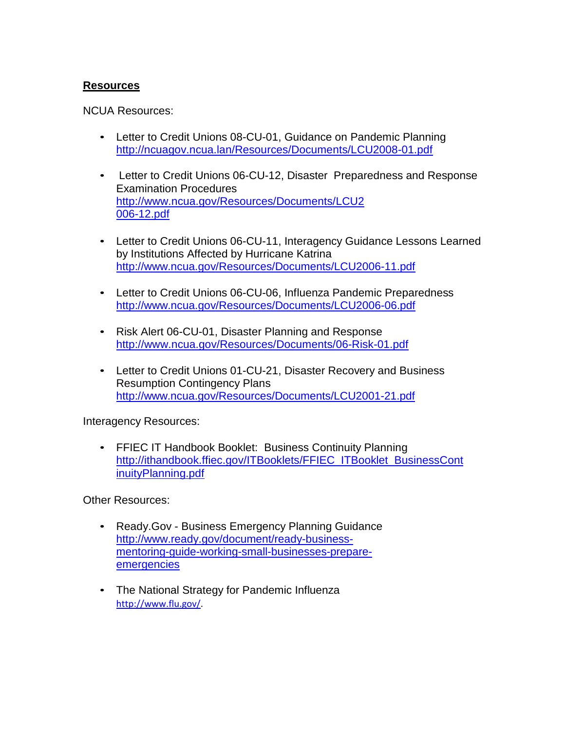## **Resources**

NCUA Resources:

- Letter to Credit Unions 08-CU-01, Guidance on Pandemic Planning <http://ncuagov.ncua.lan/Resources/Documents/LCU2008-01.pdf>
- Letter to Credit Unions 06-CU-12, Disaster Preparedness and Response Examination Procedures [http://www.ncua.gov/Resources/Documents/LCU2](http://www.ncua.gov/Resources/Documents/LCU2006-12.pdf) [006-12.pdf](http://www.ncua.gov/Resources/Documents/LCU2006-12.pdf)
- Letter to Credit Unions 06-CU-11, Interagency Guidance Lessons Learned by Institutions Affected by Hurricane Katrina <http://www.ncua.gov/Resources/Documents/LCU2006-11.pdf>
- Letter to Credit Unions 06-CU-06, Influenza Pandemic Preparedness <http://www.ncua.gov/Resources/Documents/LCU2006-06.pdf>
- Risk Alert 06-CU-01, Disaster Planning and Response <http://www.ncua.gov/Resources/Documents/06-Risk-01.pdf>
- Letter to Credit Unions 01-CU-21, Disaster Recovery and Business Resumption Contingency Plans http://www.ncua.gov/Resources/Documents/LCU2001-21.pdf

Interagency Resources:

• FFIEC IT Handbook Booklet: Business Continuity Planning [http://ithandbook.ffiec.gov/ITBooklets/FFIEC\\_ITBooklet\\_BusinessCont](http://ithandbook.ffiec.gov/ITBooklets/FFIEC_ITBooklet_BusinessContinuityPlanning.pdf) [inuityPlanning.pdf](http://ithandbook.ffiec.gov/ITBooklets/FFIEC_ITBooklet_BusinessContinuityPlanning.pdf)

Other Resources:

- Ready.Gov Business Emergency Planning Guidance [http://www.ready.gov/document/ready-business](http://www.ready.gov/document/ready-business-mentoring-guide-working-small-businesses-prepare-emergencies)[mentoring-guide-working-small-businesses-prepare](http://www.ready.gov/document/ready-business-mentoring-guide-working-small-businesses-prepare-emergencies)[emergencies](http://www.ready.gov/document/ready-business-mentoring-guide-working-small-businesses-prepare-emergencies)
- The National Strategy for Pandemic Influenza [http://www.flu.gov/.](http://www.flu.gov/)